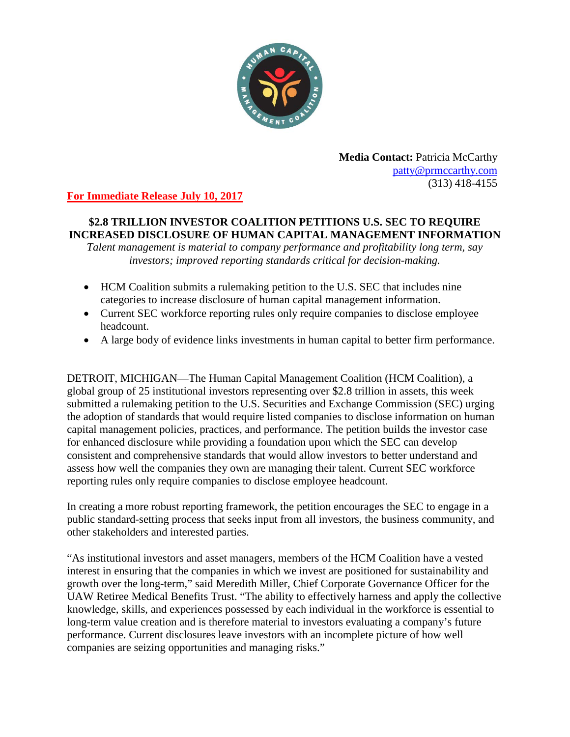

**Media Contact:** Patricia McCarthy [patty@prmccarthy.com](mailto:patty@prmccarthy.com) (313) 418-4155

## **For Immediate Release July 10, 2017**

## **\$2.8 TRILLION INVESTOR COALITION PETITIONS U.S. SEC TO REQUIRE INCREASED DISCLOSURE OF HUMAN CAPITAL MANAGEMENT INFORMATION**

*Talent management is material to company performance and profitability long term, say investors; improved reporting standards critical for decision-making.*

- HCM Coalition submits a rulemaking petition to the U.S. SEC that includes nine categories to increase disclosure of human capital management information.
- Current SEC workforce reporting rules only require companies to disclose employee headcount.
- A large body of evidence links investments in human capital to better firm performance.

DETROIT, MICHIGAN—The Human Capital Management Coalition (HCM Coalition), a global group of 25 institutional investors representing over \$2.8 trillion in assets, this week submitted a rulemaking petition to the U.S. Securities and Exchange Commission (SEC) urging the adoption of standards that would require listed companies to disclose information on human capital management policies, practices, and performance. The petition builds the investor case for enhanced disclosure while providing a foundation upon which the SEC can develop consistent and comprehensive standards that would allow investors to better understand and assess how well the companies they own are managing their talent. Current SEC workforce reporting rules only require companies to disclose employee headcount.

In creating a more robust reporting framework, the petition encourages the SEC to engage in a public standard-setting process that seeks input from all investors, the business community, and other stakeholders and interested parties.

"As institutional investors and asset managers, members of the HCM Coalition have a vested interest in ensuring that the companies in which we invest are positioned for sustainability and growth over the long-term," said Meredith Miller, Chief Corporate Governance Officer for the UAW Retiree Medical Benefits Trust. "The ability to effectively harness and apply the collective knowledge, skills, and experiences possessed by each individual in the workforce is essential to long-term value creation and is therefore material to investors evaluating a company's future performance. Current disclosures leave investors with an incomplete picture of how well companies are seizing opportunities and managing risks."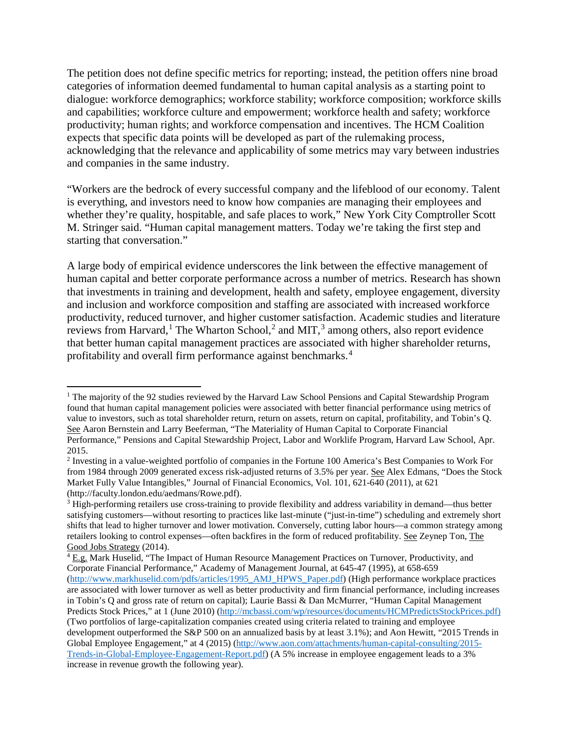The petition does not define specific metrics for reporting; instead, the petition offers nine broad categories of information deemed fundamental to human capital analysis as a starting point to dialogue: workforce demographics; workforce stability; workforce composition; workforce skills and capabilities; workforce culture and empowerment; workforce health and safety; workforce productivity; human rights; and workforce compensation and incentives. The HCM Coalition expects that specific data points will be developed as part of the rulemaking process, acknowledging that the relevance and applicability of some metrics may vary between industries and companies in the same industry.

"Workers are the bedrock of every successful company and the lifeblood of our economy. Talent is everything, and investors need to know how companies are managing their employees and whether they're quality, hospitable, and safe places to work," New York City Comptroller Scott M. Stringer said. "Human capital management matters. Today we're taking the first step and starting that conversation."

A large body of empirical evidence underscores the link between the effective management of human capital and better corporate performance across a number of metrics. Research has shown that investments in training and development, health and safety, employee engagement, diversity and inclusion and workforce composition and staffing are associated with increased workforce productivity, reduced turnover, and higher customer satisfaction. Academic studies and literature reviews from Harvard,<sup>[1](#page-1-0)</sup> The Wharton School,<sup>[2](#page-1-1)</sup> and MIT,<sup>[3](#page-1-2)</sup> among others, also report evidence that better human capital management practices are associated with higher shareholder returns, profitability and overall firm performance against benchmarks.<sup>[4](#page-1-3)</sup>

<span id="page-1-0"></span> $\overline{\phantom{a}}$ <sup>1</sup> The majority of the 92 studies reviewed by the Harvard Law School Pensions and Capital Stewardship Program found that human capital management policies were associated with better financial performance using metrics of value to investors, such as total shareholder return, return on assets, return on capital, profitability, and Tobin's Q. See Aaron Bernstein and Larry Beeferman, "The Materiality of Human Capital to Corporate Financial Performance," Pensions and Capital Stewardship Project, Labor and Worklife Program, Harvard Law School, Apr. 2015.

<span id="page-1-1"></span><sup>2</sup> Investing in a value-weighted portfolio of companies in the Fortune 100 America's Best Companies to Work For from 1984 through 2009 generated excess risk-adjusted returns of 3.5% per year. See Alex Edmans, "Does the Stock Market Fully Value Intangibles," Journal of Financial Economics, Vol. 101, 621-640 (2011), at 621 (http://faculty.london.edu/aedmans/Rowe.pdf).

<span id="page-1-2"></span><sup>3</sup> High-performing retailers use cross-training to provide flexibility and address variability in demand—thus better satisfying customers—without resorting to practices like last-minute ("just-in-time") scheduling and extremely short shifts that lead to higher turnover and lower motivation. Conversely, cutting labor hours—a common strategy among retailers looking to control expenses—often backfires in the form of reduced profitability. See Zeynep Ton, The Good Jobs Strategy (2014).

<span id="page-1-3"></span><sup>4</sup> E.g. Mark Huselid, "The Impact of Human Resource Management Practices on Turnover, Productivity, and Corporate Financial Performance," Academy of Management Journal, at 645-47 (1995), at 658-659 [\(http://www.markhuselid.com/pdfs/articles/1995\\_AMJ\\_HPWS\\_Paper.pdf\)](http://www.markhuselid.com/pdfs/articles/1995_AMJ_HPWS_Paper.pdf) (High performance workplace practices are associated with lower turnover as well as better productivity and firm financial performance, including increases in Tobin's Q and gross rate of return on capital); Laurie Bassi & Dan McMurrer, "Human Capital Management Predicts Stock Prices," at 1 (June 2010) [\(http://mcbassi.com/wp/resources/documents/HCMPredictsStockPrices.pdf\)](http://mcbassi.com/wp/resources/documents/HCMPredictsStockPrices.pdf)) (Two portfolios of large-capitalization companies created using criteria related to training and employee development outperformed the S&P 500 on an annualized basis by at least 3.1%); and Aon Hewitt, "2015 Trends in Global Employee Engagement," at 4 (2015) [\(http://www.aon.com/attachments/human-capital-consulting/2015-](http://www.aon.com/attachments/human-capital-consulting/2015-Trends-in-Global-Employee-Engagement-Report.pdf) [Trends-in-Global-Employee-Engagement-Report.pdf\)](http://www.aon.com/attachments/human-capital-consulting/2015-Trends-in-Global-Employee-Engagement-Report.pdf) (A 5% increase in employee engagement leads to a 3% increase in revenue growth the following year).